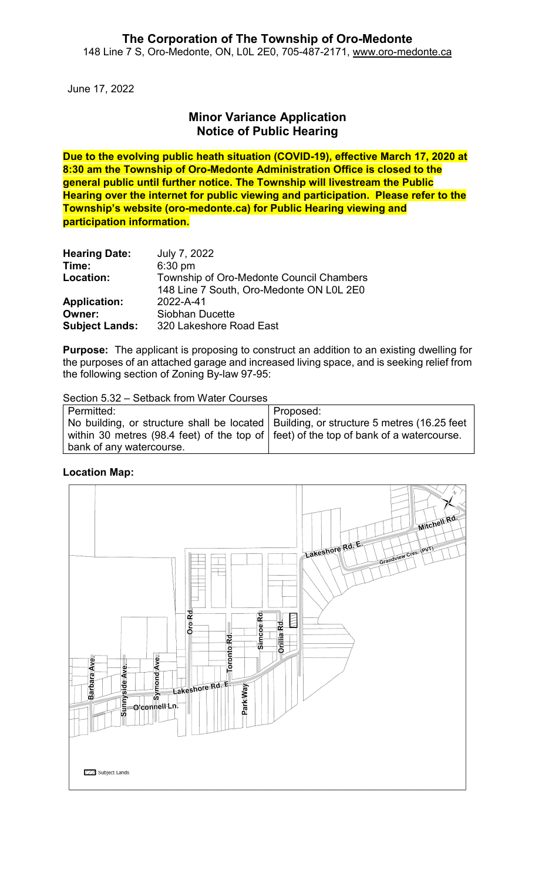June 17, 2022

# **Minor Variance Application Notice of Public Hearing**

**Due to the evolving public heath situation (COVID-19), effective March 17, 2020 at 8:30 am the Township of Oro-Medonte Administration Office is closed to the general public until further notice. The Township will livestream the Public Hearing over the internet for public viewing and participation. Please refer to the Township's website (oro-medonte.ca) for Public Hearing viewing and participation information.**

| <b>Hearing Date:</b>  | July 7, 2022                                                                         |
|-----------------------|--------------------------------------------------------------------------------------|
| Time:                 | $6:30$ pm                                                                            |
| Location:             | Township of Oro-Medonte Council Chambers<br>148 Line 7 South, Oro-Medonte ON L0L 2E0 |
| <b>Application:</b>   | 2022-A-41                                                                            |
| Owner:                | Siobhan Ducette                                                                      |
| <b>Subject Lands:</b> | 320 Lakeshore Road East                                                              |

**Purpose:** The applicant is proposing to construct an addition to an existing dwelling for the purposes of an attached garage and increased living space, and is seeking relief from the following section of Zoning By-law 97-95:

Section 5.32 – Setback from Water Courses

| Permitted:                                                                                    | Proposed: |
|-----------------------------------------------------------------------------------------------|-----------|
| No building, or structure shall be located   Building, or structure 5 metres (16.25 feet      |           |
| within 30 metres (98.4 feet) of the top of $\vert$ feet) of the top of bank of a watercourse. |           |
| bank of any watercourse.                                                                      |           |

### **Location Map:**

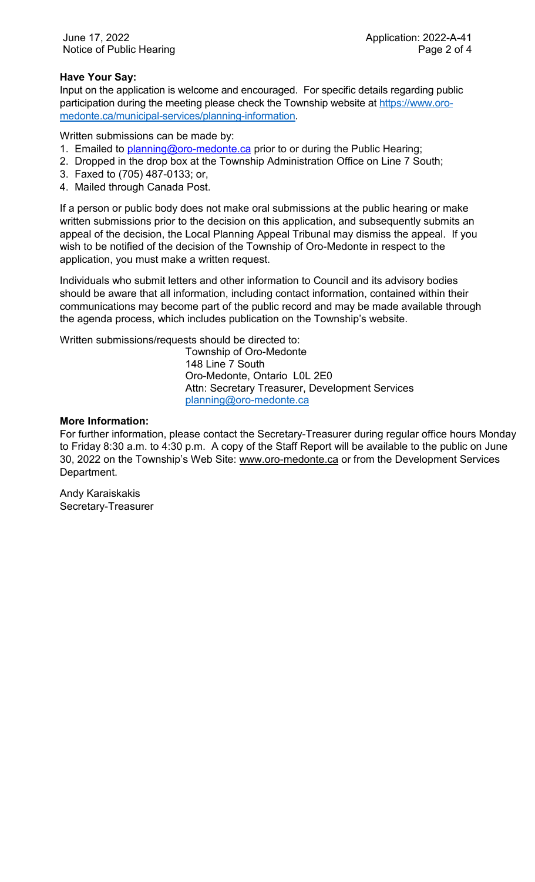## **Have Your Say:**

Input on the application is welcome and encouraged. For specific details regarding public participation during the meeting please check the Township website at [https://www.oro](https://www.oro-medonte.ca/municipal-services/planning-information)[medonte.ca/municipal-services/planning-information.](https://www.oro-medonte.ca/municipal-services/planning-information)

Written submissions can be made by:

- 1. Emailed to *planning@oro-medonte.ca* prior to or during the Public Hearing;
- 2. Dropped in the drop box at the Township Administration Office on Line 7 South;
- 3. Faxed to (705) 487-0133; or,
- 4. Mailed through Canada Post.

If a person or public body does not make oral submissions at the public hearing or make written submissions prior to the decision on this application, and subsequently submits an appeal of the decision, the Local Planning Appeal Tribunal may dismiss the appeal. If you wish to be notified of the decision of the Township of Oro-Medonte in respect to the application, you must make a written request.

Individuals who submit letters and other information to Council and its advisory bodies should be aware that all information, including contact information, contained within their communications may become part of the public record and may be made available through the agenda process, which includes publication on the Township's website.

Written submissions/requests should be directed to:

Township of Oro-Medonte 148 Line 7 South Oro-Medonte, Ontario L0L 2E0 Attn: Secretary Treasurer, Development Services [planning@oro-medonte.ca](mailto:planning@oro-medonte.ca)

### **More Information:**

For further information, please contact the Secretary-Treasurer during regular office hours Monday to Friday 8:30 a.m. to 4:30 p.m. A copy of the Staff Report will be available to the public on June 30, 2022 on the Township's Web Site: [www.oro-medonte.ca](http://www.oro-medonte.ca/) or from the Development Services Department.

Andy Karaiskakis Secretary-Treasurer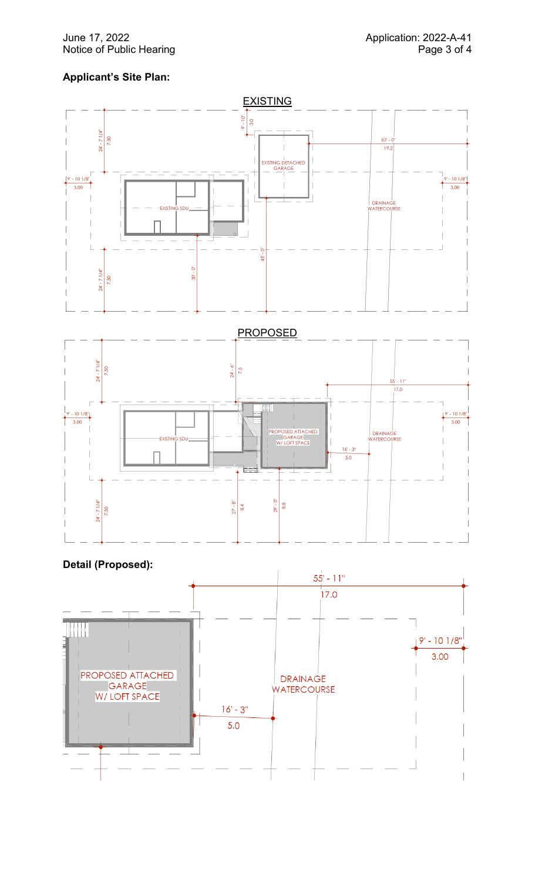### June 17, 2022<br>Notice of Public Hearing **Application: 2022-A-41**<br>Page 3 of 4 Notice of Public Hearing

# **Applicant's Site Plan:**





## **Detail (Proposed):**